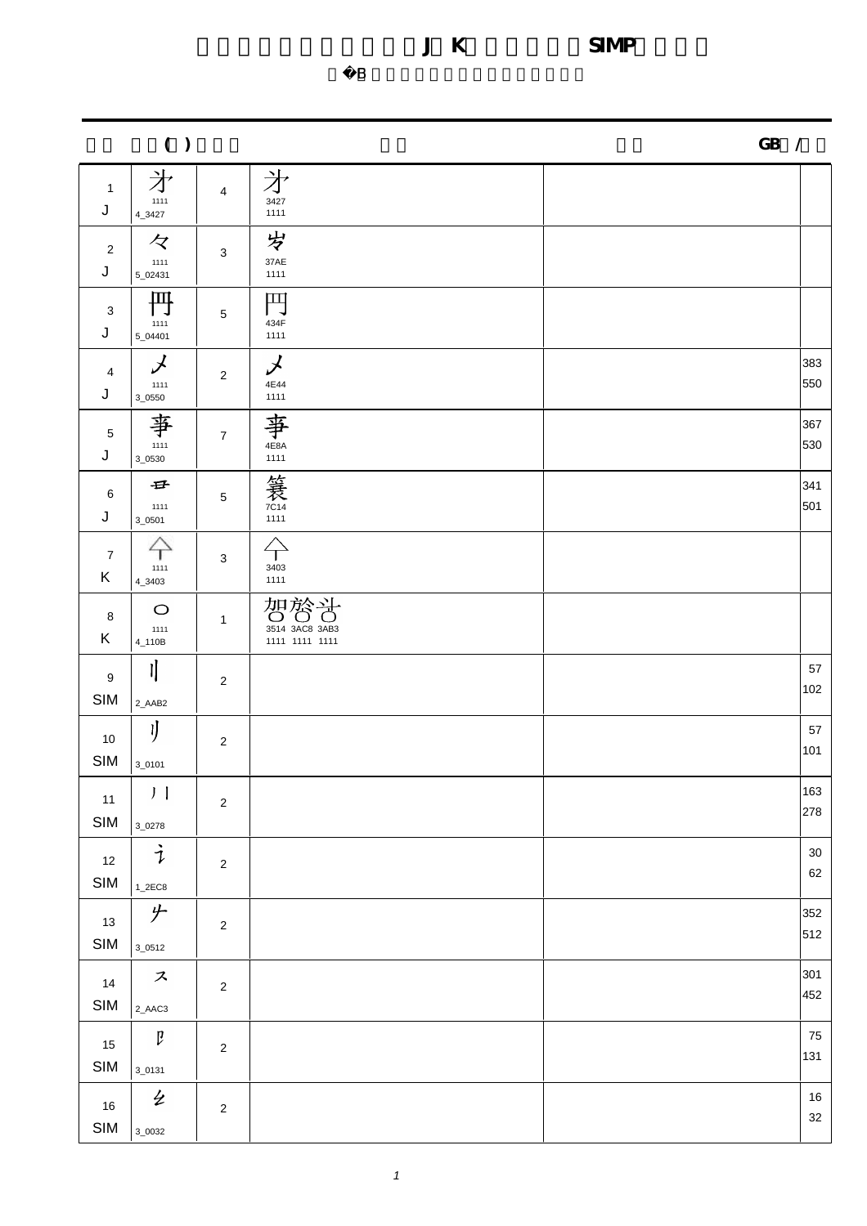$\overline{B}$ 

電腦漢字楷體字形日韓(J,K)及簡化字(SIMP)部件表

| ( )                  |                                          |                | $GB$ /                                                                |              |  |
|----------------------|------------------------------------------|----------------|-----------------------------------------------------------------------|--------------|--|
| $\mathbf{1}$<br>J    | $\frac{1}{2}$                            | $\overline{4}$ | 才<br>3427<br>1111                                                     |              |  |
| $\overline{2}$<br>J  | $\overline{z}$<br>$\frac{1111}{5.02431}$ | 3              | 岁<br>37AE<br>1111                                                     |              |  |
| $\mathbf 3$<br>J     | 円<br>1111<br>5_04401                     | $5\,$          | $\begin{array}{c}\n\prod\limits_{434\mathrm{F}}\n\end{array}$<br>1111 |              |  |
| $\overline{4}$<br>J  | $\boldsymbol{\lambda}$<br>1111<br>3_0550 | $\overline{2}$ | $\chi$<br>4E44<br>1111                                                | 383<br>550   |  |
| $\sqrt{5}$<br>J      | 事<br>$3_{-0530}$                         | $\overline{7}$ | 亊<br>4E8A<br>1111                                                     | 367<br>530   |  |
| $\,6\,$<br>J         | $\oplus$<br>1111<br>$3_{-0501}$          | $\sqrt{5}$     | / 笑<br>                                                               | 341<br>501   |  |
| $\overline{7}$<br>K  | $\bigoplus_{111}$<br>$4_{-}3403$         | $\mathbf{3}$   | $\Leftrightarrow$<br>3403<br>1111                                     |              |  |
| 8<br>K               | $\circ$<br>$1111$<br>4_110B              | $\mathbf{1}$   | 智管音<br>3514 3AC8 3AB3<br>1111 1111 1111                               |              |  |
| 9<br>SIM             | 卟<br>2_AAB2                              | $\overline{2}$ |                                                                       | 57<br>102    |  |
| 10<br>SIM            | IJ<br>$3_0$ 101                          | $\overline{2}$ |                                                                       | 57<br>101    |  |
| $11$<br>SIM          | $J$ $\overline{I}$<br>$3_{-0278}$        | $\overline{c}$ |                                                                       | 163<br>278   |  |
| $12$<br>SIM          | $\dot{\mathcal{I}}$<br>$1_2EEC8$         | $\overline{2}$ |                                                                       | $30\,$<br>62 |  |
| 13<br>$\mathsf{SIM}$ | 少<br>$3_{-0512}$                         | $\sqrt{2}$     |                                                                       | 352<br>512   |  |
| 14<br>SIM            | $\boldsymbol{\mathcal{Z}}$<br>2_AAC3     | $\overline{2}$ |                                                                       | 301<br>452   |  |
| 15<br>SIM            | $\mathfrak p$<br>$3_0$ 0131              | $\overline{2}$ |                                                                       | 75<br>131    |  |
| $16\,$<br>SIM        | $\overline{2}$<br>$3_{-0032}$            | $\overline{2}$ |                                                                       | 16<br>$32\,$ |  |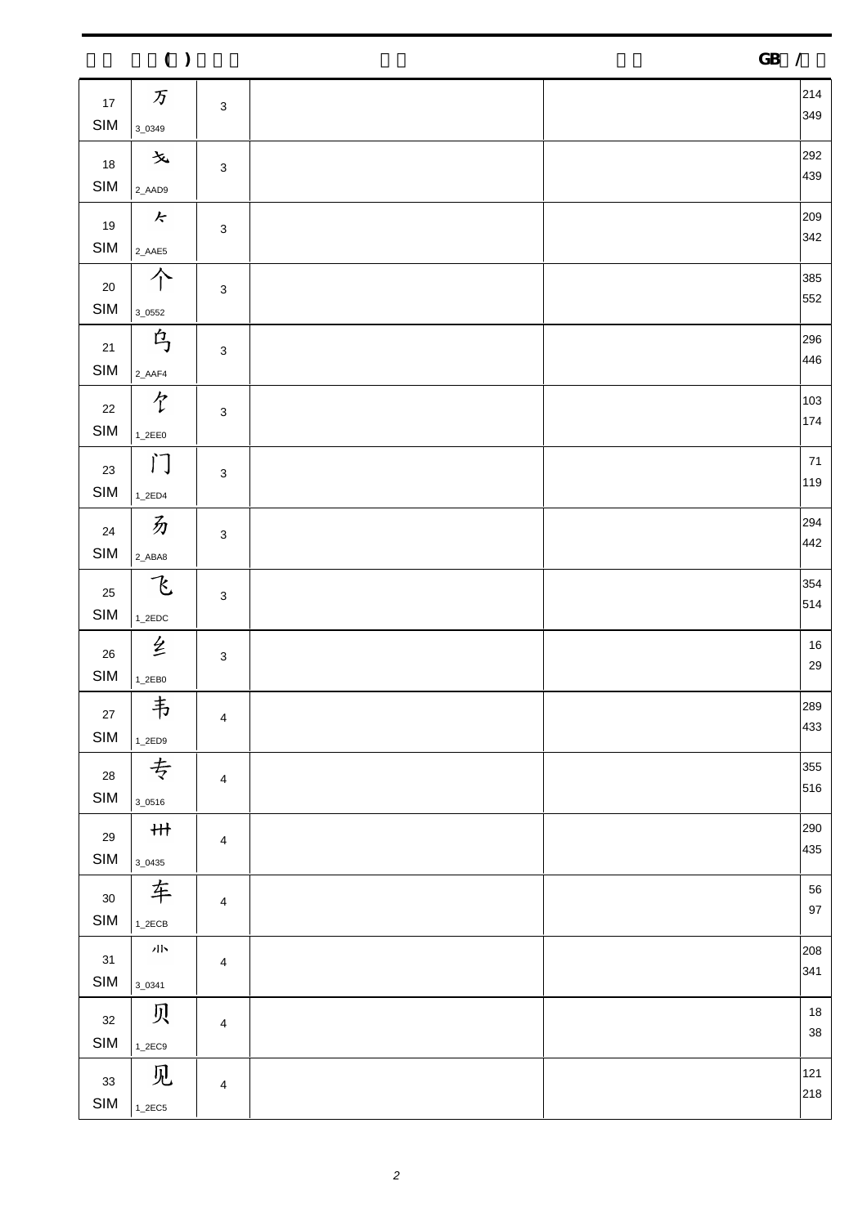|                          | ( )                                    |                           |  | ${\bf GB}$<br>$\overline{\phantom{a}}$ |
|--------------------------|----------------------------------------|---------------------------|--|----------------------------------------|
| 17<br>$\mathsf{SIM}$     | $\mathcal{F}$<br>3_0349                | $\mathsf 3$               |  | 214<br>349                             |
| 18<br>$\mathsf{SIM}$     | 文<br>2_AAD9                            | $\mathsf 3$               |  | 292<br>439                             |
| 19<br>SIM                | $\kappa$<br>2_AAE5                     | $\ensuremath{\mathsf{3}}$ |  | 209<br>342                             |
| $20\,$<br>$\mathsf{SIM}$ | 个<br>$3_{-0552}$                       | $\mathsf 3$               |  | 385<br>552                             |
| $21$<br>$\mathsf{SIM}$   | 乌<br>2_AAF4                            | $\mathsf 3$               |  | 296<br>446                             |
| $22\,$<br>$\mathsf{SIM}$ | 饣<br>$1_2EE0$                          | $\mathsf 3$               |  | 103<br>174                             |
| 23<br>SIM                | $\mathcal{C}(\mathcal{C})$<br>$1_2ED4$ | $\ensuremath{\mathsf{3}}$ |  | $71$<br>119                            |
| 24<br>$\mathsf{SIM}$     | 办<br>2_ABA8                            | $\mathsf 3$               |  | 294<br>442                             |
| 25<br>SIM                | 飞<br>$1_2EDC$                          | $\ensuremath{\mathsf{3}}$ |  | 354<br>514                             |
| 26<br><b>SIM</b>         | 纟<br>$1_2EB0$                          | $\ensuremath{\mathsf{3}}$ |  | $16\,$<br>29                           |
| $27\,$<br><b>SIM</b>     | 韦<br>$1_2ED9$                          | 4                         |  | 289<br>433                             |
| 28<br>$\mathsf{SIM}$     | 专<br>$3_{-0516}$                       | $\overline{\mathbf{4}}$   |  | 355<br>516                             |
| 29<br>$\mathsf{SIM}$     | H<br>$3_{-0435}$                       | $\overline{4}$            |  | 290<br>435                             |
| 30<br>SIM                | 车<br>$1_2$ ECB                         | $\overline{\mathbf{4}}$   |  | 56<br>$97\,$                           |
| 31<br>$\mathsf{SIM}$     | 小<br>$3_{-}0341$                       | $\overline{4}$            |  | 208<br>341                             |
| 32<br>SIM                | 贝<br>$1_2$ EC9                         | 4                         |  | $18\,$<br>38                           |
| 33<br><b>SIM</b>         | 见<br>$1_2$ EC5                         | $\overline{\mathbf{4}}$   |  | 121<br>218                             |